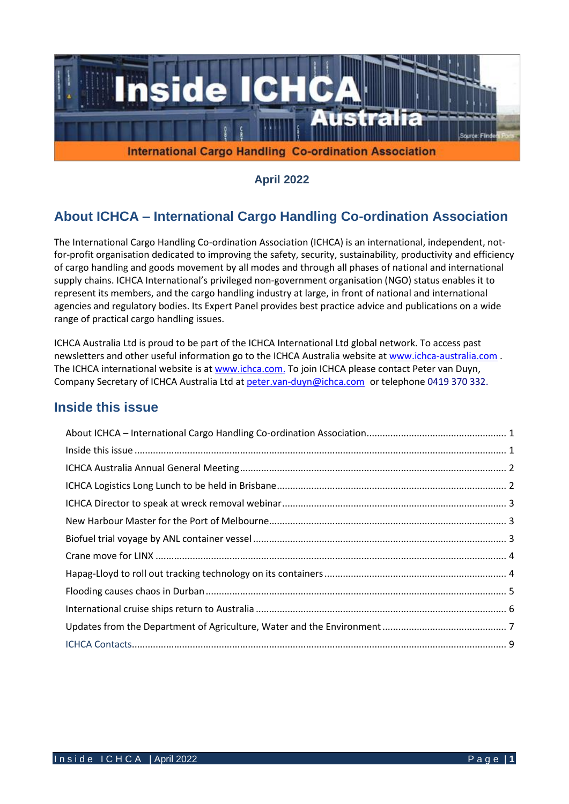

**April 2022**

# **About ICHCA – International Cargo Handling Co-ordination Association**

The International Cargo Handling Co-ordination Association (ICHCA) is an international, independent, notfor-profit organisation dedicated to improving the safety, security, sustainability, productivity and efficiency of cargo handling and goods movement by all modes and through all phases of national and international supply chains. ICHCA International's privileged non-government organisation (NGO) status enables it to represent its members, and the cargo handling industry at large, in front of national and international agencies and regulatory bodies. Its Expert Panel provides best practice advice and publications on a wide range of practical cargo handling issues.

ICHCA Australia Ltd is proud to be part of the ICHCA International Ltd global network. To access past newsletters and other useful information go to the ICHCA Australia website at [www.ichca-australia.com](http://www.ichca-australia.com/) . The ICHCA international website is at [www.ichca.com.](http://www.ichca.com/) To join ICHCA please contact Peter van Duyn, Company Secretary of ICHCA Australia Ltd at [peter.van-duyn@ichca.com](mailto:peter.vanduijn@deakin.edu.au) or telephone 0419 370 332.

## **Inside this issue**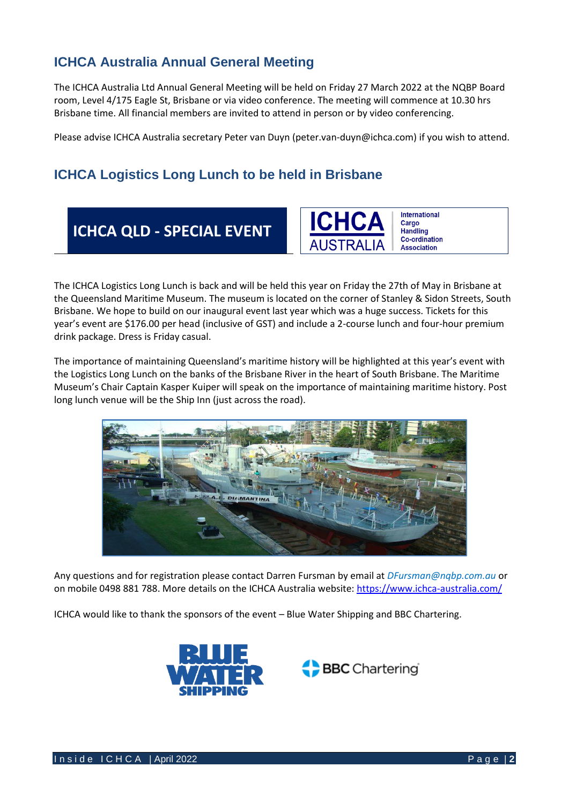# **ICHCA Australia Annual General Meeting**

The ICHCA Australia Ltd Annual General Meeting will be held on Friday 27 March 2022 at the NQBP Board room, Level 4/175 Eagle St, Brisbane or via video conference. The meeting will commence at 10.30 hrs Brisbane time. All financial members are invited to attend in person or by video conferencing.

Please advise ICHCA Australia secretary Peter van Duyn (peter.van-duyn@ichca.com) if you wish to attend.

# **ICHCA Logistics Long Lunch to be held in Brisbane**

**ICHCA QLD - SPECIAL EVENT**



The ICHCA Logistics Long Lunch is back and will be held this year on Friday the 27th of May in Brisbane at the Queensland Maritime Museum. The museum is located on the corner of Stanley & Sidon Streets, South Brisbane. We hope to build on our inaugural event last year which was a huge success. Tickets for this year's event are \$176.00 per head (inclusive of GST) and include a 2-course lunch and four-hour premium drink package. Dress is Friday casual.

The importance of maintaining Queensland's maritime history will be highlighted at this year's event with the Logistics Long Lunch on the banks of the Brisbane River in the heart of South Brisbane. The Maritime Museum's Chair Captain Kasper Kuiper will speak on the importance of maintaining maritime history. Post long lunch venue will be the Ship Inn (just across the road).



Any questions and for registration please contact Darren Fursman by email at *[DFursman@nqbp.com.au](mailto:DFursman@nqbp.com.au)* or on mobile 0498 881 788. More details on the ICHCA Australia website:<https://www.ichca-australia.com/>

ICHCA would like to thank the sponsors of the event – Blue Water Shipping and BBC Chartering.

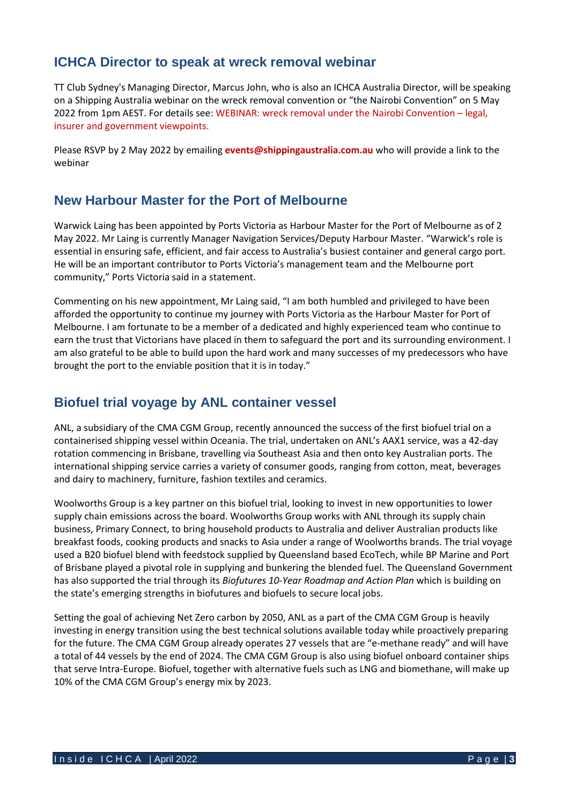## **ICHCA Director to speak at wreck removal webinar**

TT Club Sydney's Managing Director, Marcus John, who is also an ICHCA Australia Director, will be speaking on a Shipping Australia webinar on the wreck removal convention or "the Nairobi Convention" on 5 May 2022 from 1pm AEST. For details see: [WEBINAR: wreck removal under the Nairobi Convention](https://www.shippingaustralia.com.au/webinar-wreck-removal-under-the-nairobi-convention-legal-insurer-and-government-viewpoints/?utm_medium=email&utm_campaign=SAL%20Signal%2022-14&utm_content=SAL%20Signal%2022-14+CID_60a1e38f9b48f25f2ea801c188075e) – legal, [insurer and government viewpoints.](https://www.shippingaustralia.com.au/webinar-wreck-removal-under-the-nairobi-convention-legal-insurer-and-government-viewpoints/?utm_medium=email&utm_campaign=SAL%20Signal%2022-14&utm_content=SAL%20Signal%2022-14+CID_60a1e38f9b48f25f2ea801c188075e)

Please RSVP by 2 May 2022 by emailing **[events@shippingaustralia.com.au](mailto:events@shippingaustralia.com.au)** who will provide a link to the webinar

## **New Harbour Master for the Port of Melbourne**

Warwick Laing has been appointed by [Ports Victoria](https://ports.vic.gov.au/) as Harbour Master for the [Port of Melbourne](https://www.portofmelbourne.com/) as of 2 May 2022. Mr Laing is currently Manager Navigation Services/Deputy Harbour Master. "Warwick's role is essential in ensuring safe, efficient, and fair access to Australia's busiest container and general cargo port. He will be an important contributor to Ports Victoria's management team and the Melbourne port community," Ports Victoria said in a statement.

Commenting on his new appointment, Mr Laing said, "I am both humbled and privileged to have been afforded the opportunity to continue my journey with Ports Victoria as the Harbour Master for Port of Melbourne. I am fortunate to be a member of a dedicated and highly experienced team who continue to earn the trust that Victorians have placed in them to safeguard the port and its surrounding environment. I am also grateful to be able to build upon the hard work and many successes of my predecessors who have brought the port to the enviable position that it is in today."

## **Biofuel trial voyage by ANL container vessel**

ANL, a subsidiary of the CMA CGM Group, recently announced the success of the first biofuel trial on a containerised shipping vessel within Oceania. The trial, undertaken on ANL's AAX1 service, was a 42-day rotation commencing in Brisbane, travelling via Southeast Asia and then onto key Australian ports. The international shipping service carries a variety of consumer goods, ranging from cotton, meat, beverages and dairy to machinery, furniture, fashion textiles and ceramics.

Woolworths Group is a key partner on this biofuel trial, looking to invest in new opportunities to lower supply chain emissions across the board. Woolworths Group works with ANL through its supply chain business, Primary Connect, to bring household products to Australia and deliver Australian products like breakfast foods, cooking products and snacks to Asia under a range of Woolworths brands. The trial voyage used a B20 biofuel blend with feedstock supplied by Queensland based EcoTech, while BP Marine and Port of Brisbane played a pivotal role in supplying and bunkering the blended fuel. The Queensland Government has also supported the trial through its *Biofutures 10-Year Roadmap and Action Plan* which is building on the state's emerging strengths in biofutures and biofuels to secure local jobs.

Setting the goal of achieving Net Zero carbon by 2050, ANL as a part of the CMA CGM Group is heavily investing in energy transition using the best technical solutions available today while proactively preparing for the future. The CMA CGM Group already operates 27 vessels that are "e-methane ready" and will have a total of 44 vessels by the end of 2024. The CMA CGM Group is also using biofuel onboard container ships that serve Intra-Europe. Biofuel, together with alternative fuels such as LNG and biomethane, will make up 10% of the CMA CGM Group's energy mix by 2023.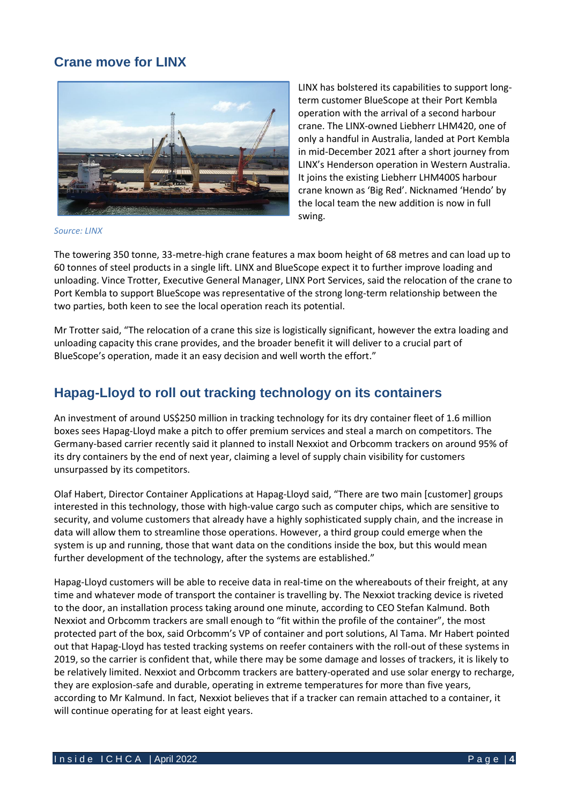# **Crane move for LINX**



LINX has bolstered its capabilities to support longterm customer BlueScope at their Port Kembla operation with the arrival of a second harbour crane. The LINX-owned Liebherr LHM420, one of only a handful in Australia, landed at Port Kembla in mid-December 2021 after a short journey from LINX's Henderson operation in Western Australia. It joins the existing Liebherr LHM400S harbour crane known as 'Big Red'. Nicknamed 'Hendo' by the local team the new addition is now in full swing.

*Source: LINX*

The towering 350 tonne, 33-metre-high crane features a max boom height of 68 metres and can load up to 60 tonnes of steel products in a single lift. LINX and BlueScope expect it to further improve loading and unloading. Vince Trotter, Executive General Manager, LINX Port Services, said the relocation of the crane to Port Kembla to support BlueScope was representative of the strong long-term relationship between the two parties, both keen to see the local operation reach its potential.

Mr Trotter said, "The relocation of a crane this size is logistically significant, however the extra loading and unloading capacity this crane provides, and the broader benefit it will deliver to a crucial part of BlueScope's operation, made it an easy decision and well worth the effort."

# **Hapag-Lloyd to roll out tracking technology on its containers**

An investment of around US\$250 million in tracking technology for its dry container fleet of 1.6 million boxes sees Hapag-Lloyd make a pitch to offer premium services and steal a march on competitors. The Germany-based carrier recently said it planned to install Nexxiot and Orbcomm trackers on around 95% of its dry containers by the end of next year, claiming a level of supply chain visibility for customers unsurpassed by its competitors.

Olaf Habert, Director Container Applications at Hapag-Lloyd said, "There are two main [customer] groups interested in this technology, those with high-value cargo such as computer chips, which are sensitive to security, and volume customers that already have a highly sophisticated supply chain, and the increase in data will allow them to streamline those operations. However, a third group could emerge when the system is up and running, those that want data on the conditions inside the box, but this would mean further development of the technology, after the systems are established."

Hapag-Lloyd customers will be able to receive data in real-time on the whereabouts of their freight, at any time and whatever mode of transport the container is travelling by. The Nexxiot tracking device is riveted to the door, an installation process taking around one minute, according to CEO Stefan Kalmund. Both Nexxiot and Orbcomm trackers are small enough to "fit within the profile of the container", the most protected part of the box, said Orbcomm's VP of container and port solutions, Al Tama. Mr Habert pointed out that Hapag-Lloyd has tested tracking systems on reefer containers with the roll-out of these systems in 2019, so the carrier is confident that, while there may be some damage and losses of trackers, it is likely to be relatively limited. Nexxiot and Orbcomm trackers are battery-operated and use solar energy to recharge, they are explosion-safe and durable, operating in extreme temperatures for more than five years, according to Mr Kalmund. In fact, Nexxiot believes that if a tracker can remain attached to a container, it will continue operating for at least eight years.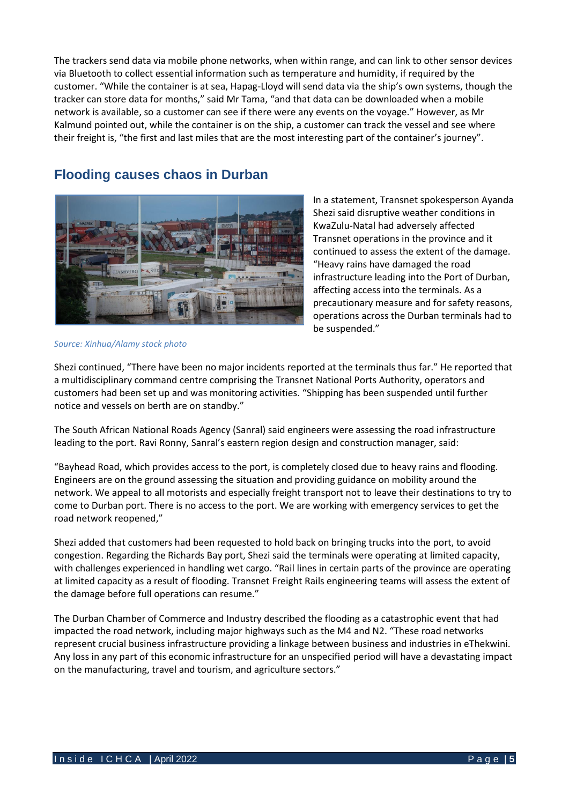The trackers send data via mobile phone networks, when within range, and can link to other sensor devices via Bluetooth to collect essential information such as temperature and humidity, if required by the customer. "While the container is at sea, Hapag-Lloyd will send data via the ship's own systems, though the tracker can store data for months," said Mr Tama, "and that data can be downloaded when a mobile network is available, so a customer can see if there were any events on the voyage." However, as Mr Kalmund pointed out, while the container is on the ship, a customer can track the vessel and see where their freight is, "the first and last miles that are the most interesting part of the container's journey".

**Flooding causes chaos in Durban**

In a statement, Transnet spokesperson Ayanda Shezi said disruptive weather conditions in KwaZulu-Natal had adversely affected Transnet operations in the province and it continued to assess the extent of the damage. "Heavy rains have damaged the road infrastructure leading into the Port of Durban, affecting access into the terminals. As a precautionary measure and for safety reasons, operations across the Durban terminals had to be suspended."

*Source: Xinhua/Alamy stock photo*

Shezi continued, "There have been no major incidents reported at the terminals thus far." He reported that a multidisciplinary command centre comprising the Transnet National Ports Authority, operators and customers had been set up and was monitoring activities. "Shipping has been suspended until further notice and vessels on berth are on standby."

The South African National Roads Agency (Sanral) said engineers were assessing the road infrastructure leading to the port. Ravi Ronny, Sanral's eastern region design and construction manager, said:

"Bayhead Road, which provides access to the port, is completely closed due to heavy rains and flooding. Engineers are on the ground assessing the situation and providing guidance on mobility around the network. We appeal to all motorists and especially freight transport not to leave their destinations to try to come to Durban port. There is no access to the port. We are working with emergency services to get the road network reopened,"

Shezi added that customers had been requested to hold back on bringing trucks into the port, to avoid congestion. Regarding the Richards Bay port, Shezi said the terminals were operating at limited capacity, with challenges experienced in handling wet cargo. "Rail lines in certain parts of the province are operating at limited capacity as a result of flooding. Transnet Freight Rails engineering teams will assess the extent of the damage before full operations can resume."

The Durban Chamber of Commerce and Industry described the flooding as a catastrophic event that had impacted the road network, including major highways such as the M4 and N2. "These road networks represent crucial business infrastructure providing a linkage between business and industries in eThekwini. Any loss in any part of this economic infrastructure for an unspecified period will have a devastating impact on the manufacturing, travel and tourism, and agriculture sectors."

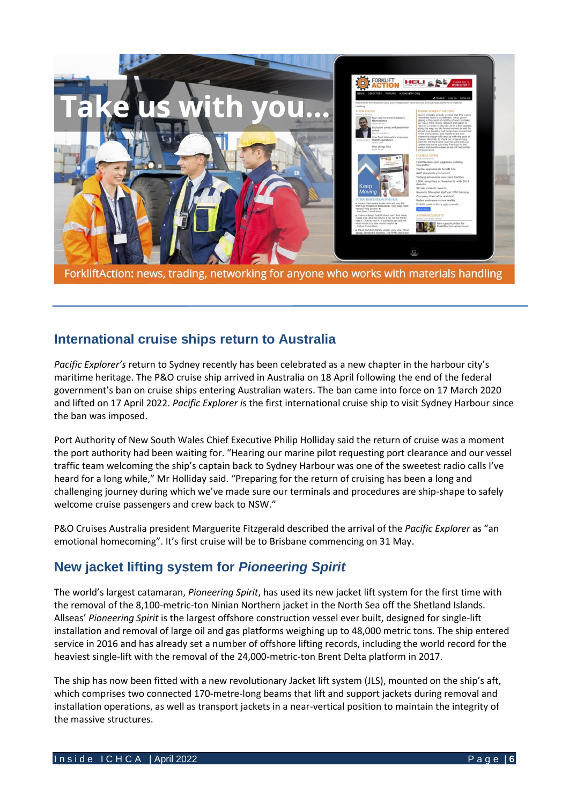

# **International cruise ships return to Australia**

*Pacific Explorer's* return to Sydney recently has been celebrated as a new chapter in the harbour city's maritime heritage. [The P&O cruise ship arrived in Australia on 18 April](https://www.thedcn.com.au/news/ports/first-cruise-ship-in-more-than-two-years-visits-sydney/) following the end of the federal government's ban on cruise ships entering Australian waters. The ban came into force on 17 March 2020 and lifted on 17 April 2022. *Pacific Explorer i*s the first international cruise ship to visit Sydney Harbour since the ban was imposed.

Port Authority of New South Wales Chief Executive Philip Holliday said the return of cruise was a moment the port authority had been waiting for. "Hearing our marine pilot requesting port clearance and our vessel traffic team welcoming the ship's captain back to Sydney Harbour was one of the sweetest radio calls I've heard for a long while," Mr Holliday said. "Preparing for the return of cruising has been a long and challenging journey during which we've made sure our terminals and procedures are ship-shape to safely welcome cruise passengers and crew back to NSW."

P&O Cruises Australia president Marguerite Fitzgerald described the arrival of the *Pacific Explorer* as "an emotional homecoming". It's first cruise will be to Brisbane commencing on 31 May.

## **New jacket lifting system for** *Pioneering Spirit*

The world's largest catamaran, *[Pioneering Spirit](https://gcaptain.com/tag/pioneering-spirit/)*, has used its new jacket lift system for the first time with the removal of the 8,100-metric-ton Ninian Northern jacket in the North Sea off the Shetland Islands. Allseas' *Pioneering Spirit* is the largest offshore construction vessel ever built, designed for single-lift installation and removal of large oil and gas platforms weighing up to 48,000 metric tons. The ship entered service in 2016 and has already set a number of offshore lifting records, including the world record for the heaviest single-lift with the removal of the 24,000-metric-ton Brent Delta platform in 2017.

The ship has now been fitted with a new revolutionary Jacket lift system (JLS), mounted on the ship's aft, which comprises two connected 170-metre-long beams that lift and support jackets during removal and installation operations, as well as transport jackets in a near-vertical position to maintain the integrity of the massive structures.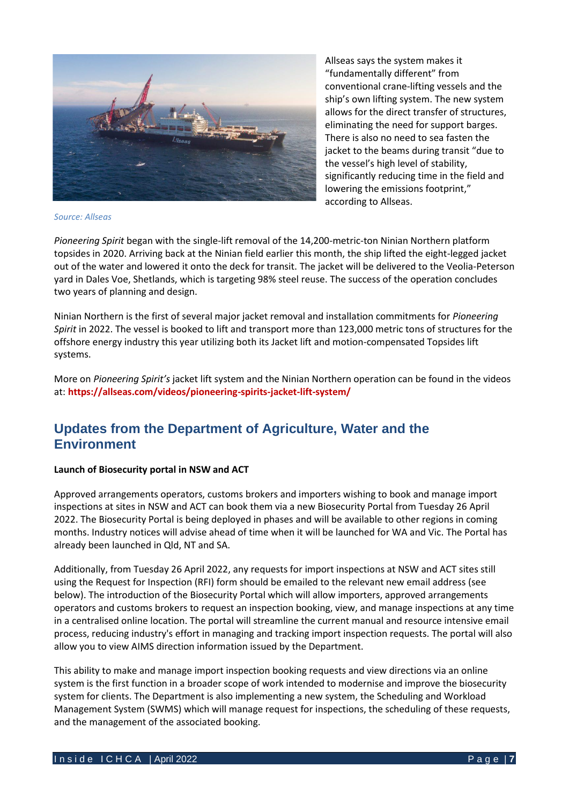

Allseas says the system makes it "fundamentally different" from conventional crane-lifting vessels and the ship's own lifting system. The new system allows for the direct transfer of structures, eliminating the need for support barges. There is also no need to sea fasten the jacket to the beams during transit "due to the vessel's high level of stability, significantly reducing time in the field and lowering the emissions footprint," according to Allseas.

#### *Source: Allseas*

*Pioneering Spirit* began with the single-lift removal of the 14,200-metric-ton Ninian Northern platform topsides in 2020. Arriving back at the Ninian field earlier this month, the ship lifted the eight-legged jacket out of the water and lowered it onto the deck for transit. The jacket will be delivered to the Veolia-Peterson yard in Dales Voe, Shetlands, which is targeting 98% steel reuse. The success of the operation concludes two years of planning and design.

Ninian Northern is the first of several major jacket removal and installation commitments for *Pioneering Spirit* in 2022. The vessel is booked to lift and transport more than 123,000 metric tons of structures for the offshore energy industry this year utilizing both its Jacket lift and motion-compensated Topsides lift systems.

More on *Pioneering Spirit's* jacket lift system and the Ninian Northern operation can be found in the videos at: **<https://allseas.com/videos/pioneering-spirits-jacket-lift-system/>**

## **Updates from the Department of Agriculture, Water and the Environment**

#### **Launch of Biosecurity portal in NSW and ACT**

Approved arrangements operators, customs brokers and importers wishing to book and manage import inspections at sites in NSW and ACT can book them via a new Biosecurity Portal from Tuesday 26 April 2022. The Biosecurity Portal is being deployed in phases and will be available to other regions in coming months. Industry notices will advise ahead of time when it will be launched for WA and Vic. The Portal has already been launched in Qld, NT and SA.

Additionally, from Tuesday 26 April 2022, any requests for import inspections at NSW and ACT sites still using the Request for Inspection (RFI) form should be emailed to the relevant new email address (see below). The introduction of the Biosecurity Portal which will allow importers, approved arrangements operators and customs brokers to request an inspection booking, view, and manage inspections at any time in a centralised online location. The portal will streamline the current manual and resource intensive email process, reducing industry's effort in managing and tracking import inspection requests. The portal will also allow you to view AIMS direction information issued by the Department.

This ability to make and manage import inspection booking requests and view directions via an online system is the first function in a broader scope of work intended to modernise and improve the biosecurity system for clients. The Department is also implementing a new system, the Scheduling and Workload Management System (SWMS) which will manage request for inspections, the scheduling of these requests, and the management of the associated booking.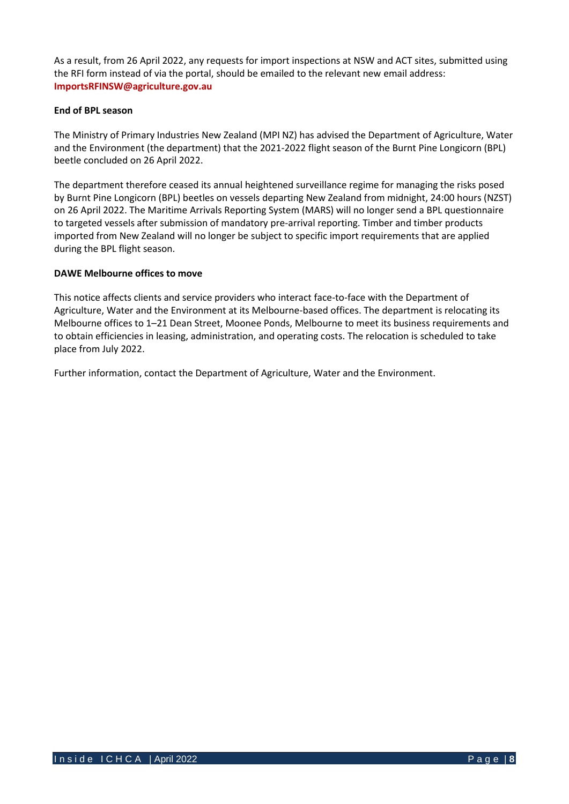As a result, from 26 April 2022, any requests for import inspections at NSW and ACT sites, submitted using the RFI form instead of via the portal, should be emailed to the relevant new email address: **[ImportsRFINSW@agriculture.gov.au](mailto:ImportsRFINSW@agriculture.gov.au)**

#### **End of BPL season**

The Ministry of Primary Industries New Zealand (MPI NZ) has advised the Department of Agriculture, Water and the Environment (the department) that the 2021-2022 flight season of the Burnt Pine Longicorn (BPL) beetle concluded on 26 April 2022.

The department therefore ceased its annual heightened surveillance regime for managing the risks posed by Burnt Pine Longicorn (BPL) beetles on vessels departing New Zealand from midnight, 24:00 hours (NZST) on 26 April 2022. The Maritime Arrivals Reporting System (MARS) will no longer send a BPL questionnaire to targeted vessels after submission of mandatory pre-arrival reporting. Timber and timber products imported from New Zealand will no longer be subject to specific import requirements that are applied during the BPL flight season.

#### **DAWE Melbourne offices to move**

This notice affects clients and service providers who interact face-to-face with the Department of Agriculture, Water and the Environment at its Melbourne-based offices. The department is relocating its Melbourne offices to 1–21 Dean Street, Moonee Ponds, Melbourne to meet its business requirements and to obtain efficiencies in leasing, administration, and operating costs. The relocation is scheduled to take place from July 2022.

Further information, contact the Department of Agriculture, Water and the Environment.